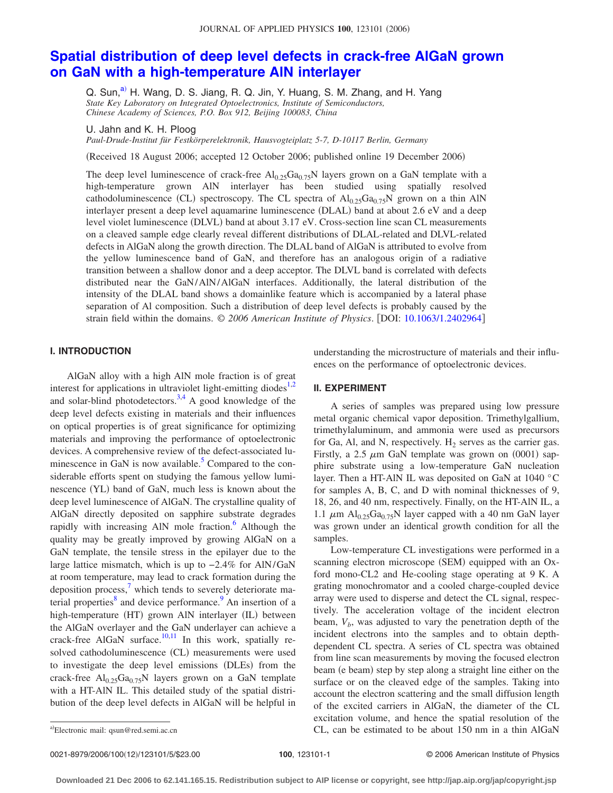# **[Spatial distribution of deep level defects in crack-free AlGaN grown](http://dx.doi.org/10.1063/1.2402964) [on GaN with a high-temperature AlN interlayer](http://dx.doi.org/10.1063/1.2402964)**

Q. Sun,<sup>a)</sup> H. Wang, D. S. Jiang, R. Q. Jin, Y. Huang, S. M. Zhang, and H. Yang *State Key Laboratory on Integrated Optoelectronics, Institute of Semiconductors, Chinese Academy of Sciences, P.O. Box 912, Beijing 100083, China*

U. Jahn and K. H. Ploog

*Paul-Drude-Institut für Festkörperelektronik, Hausvogteiplatz 5-7, D-10117 Berlin, Germany*

(Received 18 August 2006; accepted 12 October 2006; published online 19 December 2006)

The deep level luminescence of crack-free  $Al_{0.25}Ga_{0.75}N$  layers grown on a GaN template with a high-temperature grown AlN interlayer has been studied using spatially resolved cathodoluminescence (CL) spectroscopy. The CL spectra of  $Al_{0.25}Ga_{0.75}N$  grown on a thin AlN interlayer present a deep level aquamarine luminescence (DLAL) band at about 2.6 eV and a deep level violet luminescence (DLVL) band at about 3.17 eV. Cross-section line scan CL measurements on a cleaved sample edge clearly reveal different distributions of DLAL-related and DLVL-related defects in AlGaN along the growth direction. The DLAL band of AlGaN is attributed to evolve from the yellow luminescence band of GaN, and therefore has an analogous origin of a radiative transition between a shallow donor and a deep acceptor. The DLVL band is correlated with defects distributed near the GaN/AlN/AlGaN interfaces. Additionally, the lateral distribution of the intensity of the DLAL band shows a domainlike feature which is accompanied by a lateral phase separation of Al composition. Such a distribution of deep level defects is probably caused by the strain field within the domains. © *2006 American Institute of Physics*. DOI: [10.1063/1.2402964](http://dx.doi.org/10.1063/1.2402964)

# **I. INTRODUCTION**

AlGaN alloy with a high AlN mole fraction is of great interest for applications in ultraviolet light-emitting diodes $1,2$  $1,2$ and solar-blind photodetectors.<sup>3[,4](#page-4-3)</sup> A good knowledge of the deep level defects existing in materials and their influences on optical properties is of great significance for optimizing materials and improving the performance of optoelectronic devices. A comprehensive review of the defect-associated luminescence in GaN is now available.<sup>5</sup> Compared to the considerable efforts spent on studying the famous yellow luminescence (YL) band of GaN, much less is known about the deep level luminescence of AlGaN. The crystalline quality of AlGaN directly deposited on sapphire substrate degrades rapidly with increasing AlN mole fraction.<sup>6</sup> Although the quality may be greatly improved by growing AlGaN on a GaN template, the tensile stress in the epilayer due to the large lattice mismatch, which is up to −2.4% for AlN/GaN at room temperature, may lead to crack formation during the deposition process,<sup>7</sup> which tends to severely deteriorate material properties<sup>8</sup> and device performance.<sup>9</sup> An insertion of a high-temperature (HT) grown AlN interlayer (IL) between the AlGaN overlayer and the GaN underlayer can achieve a crack-free AlGaN surface.<sup>10[,11](#page-4-10)</sup> In this work, spatially resolved cathodoluminescence (CL) measurements were used to investigate the deep level emissions (DLEs) from the crack-free  $Al_{0.25}Ga_{0.75}N$  layers grown on a GaN template with a HT-AlN IL. This detailed study of the spatial distribution of the deep level defects in AlGaN will be helpful in understanding the microstructure of materials and their influences on the performance of optoelectronic devices.

# **II. EXPERIMENT**

A series of samples was prepared using low pressure metal organic chemical vapor deposition. Trimethylgallium, trimethylaluminum, and ammonia were used as precursors for Ga, Al, and N, respectively.  $H_2$  serves as the carrier gas. Firstly, a 2.5  $\mu$ m GaN template was grown on (0001) sapphire substrate using a low-temperature GaN nucleation layer. Then a HT-AlN IL was deposited on GaN at 1040 °C for samples A, B, C, and D with nominal thicknesses of 9, 18, 26, and 40 nm, respectively. Finally, on the HT-AlN IL, a 1.1  $\mu$ m Al<sub>0.25</sub>Ga<sub>0.75</sub>N layer capped with a 40 nm GaN layer was grown under an identical growth condition for all the samples.

Low-temperature CL investigations were performed in a scanning electron microscope (SEM) equipped with an Oxford mono-CL2 and He-cooling stage operating at 9 K. A grating monochromator and a cooled charge-coupled device array were used to disperse and detect the CL signal, respectively. The acceleration voltage of the incident electron beam,  $V<sub>b</sub>$ , was adjusted to vary the penetration depth of the incident electrons into the samples and to obtain depthdependent CL spectra. A series of CL spectra was obtained from line scan measurements by moving the focused electron beam (e beam) step by step along a straight line either on the surface or on the cleaved edge of the samples. Taking into account the electron scattering and the small diffusion length of the excited carriers in AlGaN, the diameter of the CL excitation volume, and hence the spatial resolution of the  $CL$ , can be estimated to be about  $150 \text{ nm}$  in a thin AlGaN

0021-8979/2006/100(12)/123101/5/\$23.00

<span id="page-0-0"></span>Electronic mail: qsun@red.semi.ac.cn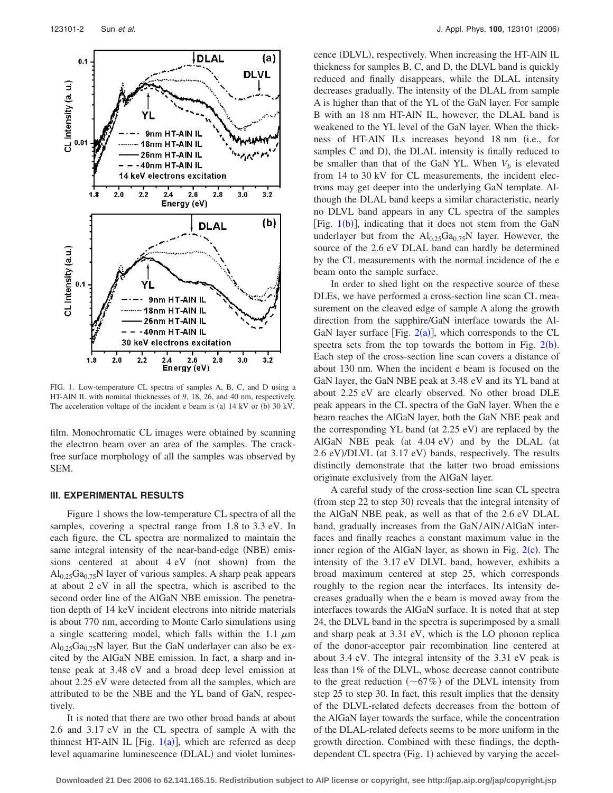<span id="page-1-0"></span>

FIG. 1. Low-temperature CL spectra of samples A, B, C, and D using a HT-AlN IL with nominal thicknesses of 9, 18, 26, and 40 nm, respectively. The acceleration voltage of the incident e beam is (a)  $14 \text{ kV}$  or (b)  $30 \text{ kV}$ .

film. Monochromatic CL images were obtained by scanning the electron beam over an area of the samples. The crackfree surface morphology of all the samples was observed by SEM.

#### **III. EXPERIMENTAL RESULTS**

Figure [1](#page-1-0) shows the low-temperature CL spectra of all the samples, covering a spectral range from 1.8 to 3.3 eV. In each figure, the CL spectra are normalized to maintain the same integral intensity of the near-band-edge (NBE) emissions centered at about  $4 eV$  (not shown) from the  $\text{Al}_{0.25}\text{Ga}_{0.75}\text{N}$  layer of various samples. A sharp peak appears at about 2 eV in all the spectra, which is ascribed to the second order line of the AlGaN NBE emission. The penetration depth of 14 keV incident electrons into nitride materials is about 770 nm, according to Monte Carlo simulations using a single scattering model, which falls within the 1.1  $\mu$ m  $Al<sub>0.25</sub>Ga<sub>0.75</sub>N$  layer. But the GaN underlayer can also be excited by the AlGaN NBE emission. In fact, a sharp and intense peak at 3.48 eV and a broad deep level emission at about 2.25 eV were detected from all the samples, which are attributed to be the NBE and the YL band of GaN, respectively.

It is noted that there are two other broad bands at about 2.6 and 3.17 eV in the CL spectra of sample A with the thinnest HT-AlN IL [Fig.  $1(a)$  $1(a)$ ], which are referred as deep level aquamarine luminescence (DLAL) and violet lumines-

cence (DLVL), respectively. When increasing the HT-AlN IL thickness for samples B, C, and D, the DLVL band is quickly reduced and finally disappears, while the DLAL intensity decreases gradually. The intensity of the DLAL from sample A is higher than that of the YL of the GaN layer. For sample B with an 18 nm HT-AlN IL, however, the DLAL band is weakened to the YL level of the GaN layer. When the thickness of HT-AlN ILs increases beyond 18 nm (i.e., for samples C and D), the DLAL intensity is finally reduced to be smaller than that of the GaN YL. When  $V_b$  is elevated from 14 to 30 kV for CL measurements, the incident electrons may get deeper into the underlying GaN template. Although the DLAL band keeps a similar characteristic, nearly no DLVL band appears in any CL spectra of the samples [Fig.  $1(b)$  $1(b)$ ], indicating that it does not stem from the GaN underlayer but from the  $Al_{0.25}Ga_{0.75}N$  layer. However, the source of the 2.6 eV DLAL band can hardly be determined by the CL measurements with the normal incidence of the e beam onto the sample surface.

In order to shed light on the respective source of these DLEs, we have performed a cross-section line scan CL measurement on the cleaved edge of sample A along the growth direction from the sapphire/GaN interface towards the Al-GaN layer surface [Fig.  $2(a)$  $2(a)$ ], which corresponds to the CL spectra sets from the top towards the bottom in Fig.  $2(b)$  $2(b)$ . Each step of the cross-section line scan covers a distance of about 130 nm. When the incident e beam is focused on the GaN layer, the GaN NBE peak at 3.48 eV and its YL band at about 2.25 eV are clearly observed. No other broad DLE peak appears in the CL spectra of the GaN layer. When the e beam reaches the AlGaN layer, both the GaN NBE peak and the corresponding YL band (at 2.25 eV) are replaced by the AlGaN NBE peak (at 4.04 eV) and by the DLAL (at 2.6 eV)/DLVL (at 3.17 eV) bands, respectively. The results distinctly demonstrate that the latter two broad emissions originate exclusively from the AlGaN layer.

A careful study of the cross-section line scan CL spectra (from step 22 to step 30) reveals that the integral intensity of the AlGaN NBE peak, as well as that of the 2.6 eV DLAL band, gradually increases from the GaN/AlN/AlGaN interfaces and finally reaches a constant maximum value in the inner region of the AlGaN layer, as shown in Fig.  $2(c)$  $2(c)$ . The intensity of the 3.17 eV DLVL band, however, exhibits a broad maximum centered at step 25, which corresponds roughly to the region near the interfaces. Its intensity decreases gradually when the e beam is moved away from the interfaces towards the AlGaN surface. It is noted that at step 24, the DLVL band in the spectra is superimposed by a small and sharp peak at 3.31 eV, which is the LO phonon replica of the donor-acceptor pair recombination line centered at about 3.4 eV. The integral intensity of the 3.31 eV peak is less than 1% of the DLVL, whose decrease cannot contribute to the great reduction  $(\sim 67\%)$  of the DLVL intensity from step 25 to step 30. In fact, this result implies that the density of the DLVL-related defects decreases from the bottom of the AlGaN layer towards the surface, while the concentration of the DLAL-related defects seems to be more uniform in the growth direction. Combined with these findings, the depth-dependent CL spectra (Fig. [1](#page-1-0)) achieved by varying the accel-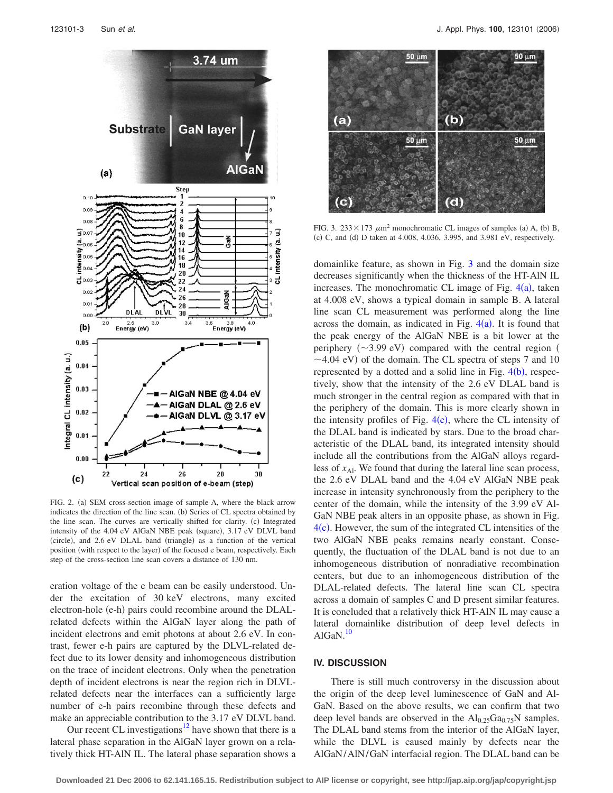<span id="page-2-0"></span>

FIG. 2. (a) SEM cross-section image of sample A, where the black arrow indicates the direction of the line scan. (b) Series of CL spectra obtained by the line scan. The curves are vertically shifted for clarity. (c) Integrated intensity of the 4.04 eV AlGaN NBE peak (square), 3.17 eV DLVL band (circle), and 2.6 eV DLAL band (triangle) as a function of the vertical position (with respect to the layer) of the focused e beam, respectively. Each step of the cross-section line scan covers a distance of 130 nm.

eration voltage of the e beam can be easily understood. Under the excitation of 30 keV electrons, many excited electron-hole (e-h) pairs could recombine around the DLALrelated defects within the AlGaN layer along the path of incident electrons and emit photons at about 2.6 eV. In contrast, fewer e-h pairs are captured by the DLVL-related defect due to its lower density and inhomogeneous distribution on the trace of incident electrons. Only when the penetration depth of incident electrons is near the region rich in DLVLrelated defects near the interfaces can a sufficiently large number of e-h pairs recombine through these defects and make an appreciable contribution to the 3.17 eV DLVL band.

Our recent CL investigations $12$  have shown that there is a lateral phase separation in the AlGaN layer grown on a relatively thick HT-AlN IL. The lateral phase separation shows a

<span id="page-2-1"></span>

FIG. 3. 233  $\times$  173  $\mu$ m<sup>2</sup> monochromatic CL images of samples (a) A, (b) B, (c) C, and (d) D taken at 4.008, 4.036, 3.995, and 3.981 eV, respectively.

domainlike feature, as shown in Fig. [3](#page-2-1) and the domain size decreases significantly when the thickness of the HT-AlN IL increases. The monochromatic CL image of Fig.  $4(a)$  $4(a)$ , taken at 4.008 eV, shows a typical domain in sample B. A lateral line scan CL measurement was performed along the line across the domain, as indicated in Fig.  $4(a)$  $4(a)$ . It is found that the peak energy of the AlGaN NBE is a bit lower at the periphery  $(\sim 3.99 \text{ eV})$  compared with the central region (  $\sim$  4.04 eV) of the domain. The CL spectra of steps 7 and 10 represented by a dotted and a solid line in Fig.  $4(b)$  $4(b)$ , respectively, show that the intensity of the 2.6 eV DLAL band is much stronger in the central region as compared with that in the periphery of the domain. This is more clearly shown in the intensity profiles of Fig.  $4(c)$  $4(c)$ , where the CL intensity of the DLAL band is indicated by stars. Due to the broad characteristic of the DLAL band, its integrated intensity should include all the contributions from the AlGaN alloys regardless of  $x_{Al}$ . We found that during the lateral line scan process, the 2.6 eV DLAL band and the 4.04 eV AlGaN NBE peak increase in intensity synchronously from the periphery to the center of the domain, while the intensity of the 3.99 eV Al-GaN NBE peak alters in an opposite phase, as shown in Fig. [4](#page-3-0)(c). However, the sum of the integrated CL intensities of the two AlGaN NBE peaks remains nearly constant. Consequently, the fluctuation of the DLAL band is not due to an inhomogeneous distribution of nonradiative recombination centers, but due to an inhomogeneous distribution of the DLAL-related defects. The lateral line scan CL spectra across a domain of samples C and D present similar features. It is concluded that a relatively thick HT-AlN IL may cause a lateral domainlike distribution of deep level defects in  $AlGaN.<sup>10</sup>$ 

### **IV. DISCUSSION**

There is still much controversy in the discussion about the origin of the deep level luminescence of GaN and Al-GaN. Based on the above results, we can confirm that two deep level bands are observed in the  $Al_{0.25}Ga_{0.75}N$  samples. The DLAL band stems from the interior of the AlGaN layer, while the DLVL is caused mainly by defects near the AlGaN/AlN/GaN interfacial region. The DLAL band can be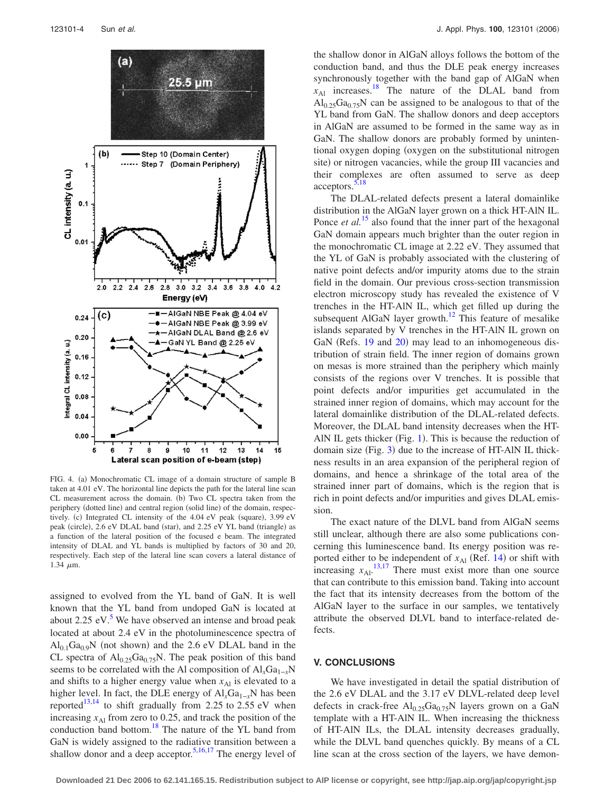<span id="page-3-0"></span>

FIG. 4. (a) Monochromatic CL image of a domain structure of sample B taken at 4.01 eV. The horizontal line depicts the path for the lateral line scan CL measurement across the domain. (b) Two CL spectra taken from the periphery (dotted line) and central region (solid line) of the domain, respectively. (c) Integrated CL intensity of the 4.04 eV peak (square), 3.99 eV peak (circle), 2.6 eV DLAL band (star), and 2.25 eV YL band (triangle) as a function of the lateral position of the focused e beam. The integrated intensity of DLAL and YL bands is multiplied by factors of 30 and 20, respectively. Each step of the lateral line scan covers a lateral distance of 1.34  $\mu$ m.

assigned to evolved from the YL band of GaN. It is well known that the YL band from undoped GaN is located at about  $2.25$  eV.<sup>5</sup> We have observed an intense and broad peak located at about 2.4 eV in the photoluminescence spectra of  $Al_{0.1}Ga_{0.9}N$  (not shown) and the 2.6 eV DLAL band in the CL spectra of  $Al_{0.25}Ga_{0.75}N$ . The peak position of this band seems to be correlated with the Al composition of  $AI_rGa_{1-r}N$ and shifts to a higher energy value when  $x_{A1}$  is elevated to a higher level. In fact, the DLE energy of Al<sub>*x*</sub>Ga<sub>1−*x*</sub>N has been reported<sup>13[,14](#page-4-13)</sup> to shift gradually from 2.25 to 2.55 eV when increasing  $x_{\text{Al}}$  from zero to 0.25, and track the position of the conduction band bottom.<sup>18</sup> The nature of the YL band from GaN is widely assigned to the radiative transition between a shallow donor and a deep acceptor.<sup>5[,16,](#page-4-2)[17](#page-4-15)</sup> The energy level of the shallow donor in AlGaN alloys follows the bottom of the conduction band, and thus the DLE peak energy increases synchronously together with the band gap of AlGaN when  $x_{\text{Al}}$  increases.<sup>18</sup> The nature of the DLAL band from  $Al<sub>0.25</sub>Ga<sub>0.75</sub>N$  can be assigned to be analogous to that of the YL band from GaN. The shallow donors and deep acceptors in AlGaN are assumed to be formed in the same way as in GaN. The shallow donors are probably formed by unintentional oxygen doping (oxygen on the substitutional nitrogen site) or nitrogen vacancies, while the group III vacancies and their complexes are often assumed to serve as deep  $acceptors.<sup>5,18</sup>$  $acceptors.<sup>5,18</sup>$  $acceptors.<sup>5,18</sup>$ 

The DLAL-related defects present a lateral domainlike distribution in the AlGaN layer grown on a thick HT-AlN IL. Ponce *et al.*<sup>[15](#page-4-16)</sup> also found that the inner part of the hexagonal GaN domain appears much brighter than the outer region in the monochromatic CL image at 2.22 eV. They assumed that the YL of GaN is probably associated with the clustering of native point defects and/or impurity atoms due to the strain field in the domain. Our previous cross-section transmission electron microscopy study has revealed the existence of V trenches in the HT-AlN IL, which get filled up during the subsequent AlGaN layer growth.<sup>12</sup> This feature of mesalike islands separated by V trenches in the HT-AlN IL grown on GaN (Refs. [19](#page-4-17) and [20](#page-4-18)) may lead to an inhomogeneous distribution of strain field. The inner region of domains grown on mesas is more strained than the periphery which mainly consists of the regions over V trenches. It is possible that point defects and/or impurities get accumulated in the strained inner region of domains, which may account for the lateral domainlike distribution of the DLAL-related defects. Moreover, the DLAL band intensity decreases when the HT-AIN IL gets thicker (Fig. [1](#page-1-0)). This is because the reduction of domain size (Fig. [3](#page-2-1)) due to the increase of HT-AlN IL thickness results in an area expansion of the peripheral region of domains, and hence a shrinkage of the total area of the strained inner part of domains, which is the region that is rich in point defects and/or impurities and gives DLAL emission.

The exact nature of the DLVL band from AlGaN seems still unclear, although there are also some publications concerning this luminescence band. Its energy position was reported either to be independent of  $x_{\text{Al}}$  (Ref. [14](#page-4-13)) or shift with increasing  $x_{Al}$ .<sup>[13,](#page-4-12)[17](#page-4-15)</sup> There must exist more than one source that can contribute to this emission band. Taking into account the fact that its intensity decreases from the bottom of the AlGaN layer to the surface in our samples, we tentatively attribute the observed DLVL band to interface-related defects.

# **V. CONCLUSIONS**

We have investigated in detail the spatial distribution of the 2.6 eV DLAL and the 3.17 eV DLVL-related deep level defects in crack-free  $Al_{0.25}Ga_{0.75}N$  layers grown on a GaN template with a HT-AlN IL. When increasing the thickness of HT-AlN ILs, the DLAL intensity decreases gradually, while the DLVL band quenches quickly. By means of a CL line scan at the cross section of the layers, we have demon-